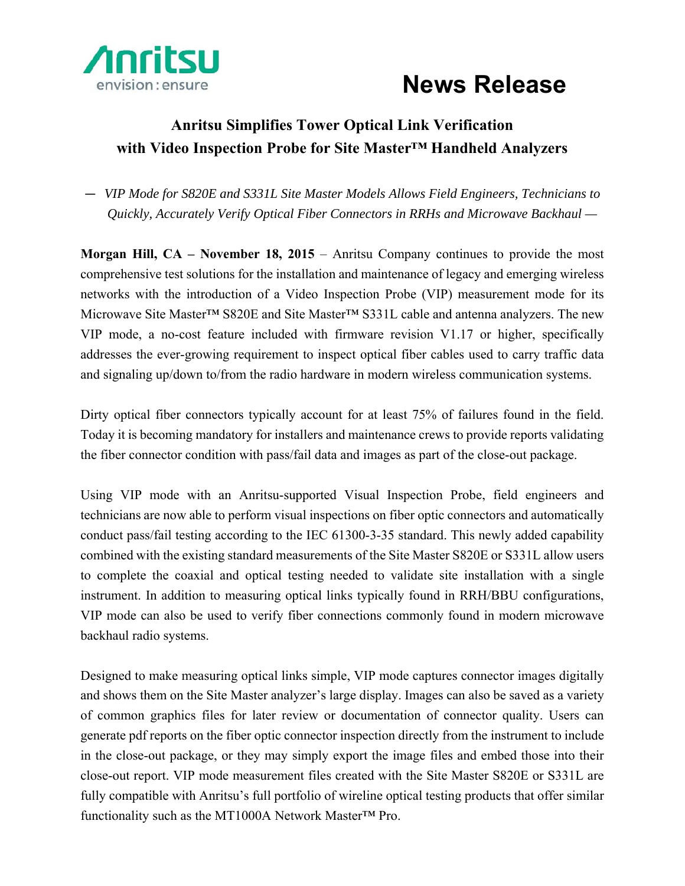

## **News Release**

## **Anritsu Simplifies Tower Optical Link Verification with Video Inspection Probe for Site Master™ Handheld Analyzers**

— *VIP Mode for S820E and S331L Site Master Models Allows Field Engineers, Technicians to Quickly, Accurately Verify Optical Fiber Connectors in RRHs and Microwave Backhaul —* 

**Morgan Hill, CA – November 18, 2015** – Anritsu Company continues to provide the most comprehensive test solutions for the installation and maintenance of legacy and emerging wireless networks with the introduction of a Video Inspection Probe (VIP) measurement mode for its Microwave Site Master™ S820E and Site Master™ S331L cable and antenna analyzers. The new VIP mode, a no-cost feature included with firmware revision V1.17 or higher, specifically addresses the ever-growing requirement to inspect optical fiber cables used to carry traffic data and signaling up/down to/from the radio hardware in modern wireless communication systems.

Dirty optical fiber connectors typically account for at least 75% of failures found in the field. Today it is becoming mandatory for installers and maintenance crews to provide reports validating the fiber connector condition with pass/fail data and images as part of the close-out package.

Using VIP mode with an Anritsu-supported Visual Inspection Probe, field engineers and technicians are now able to perform visual inspections on fiber optic connectors and automatically conduct pass/fail testing according to the IEC 61300-3-35 standard. This newly added capability combined with the existing standard measurements of the Site Master S820E or S331L allow users to complete the coaxial and optical testing needed to validate site installation with a single instrument. In addition to measuring optical links typically found in RRH/BBU configurations, VIP mode can also be used to verify fiber connections commonly found in modern microwave backhaul radio systems.

Designed to make measuring optical links simple, VIP mode captures connector images digitally and shows them on the Site Master analyzer's large display. Images can also be saved as a variety of common graphics files for later review or documentation of connector quality. Users can generate pdf reports on the fiber optic connector inspection directly from the instrument to include in the close-out package, or they may simply export the image files and embed those into their close-out report. VIP mode measurement files created with the Site Master S820E or S331L are fully compatible with Anritsu's full portfolio of wireline optical testing products that offer similar functionality such as the MT1000A Network Master™ Pro.